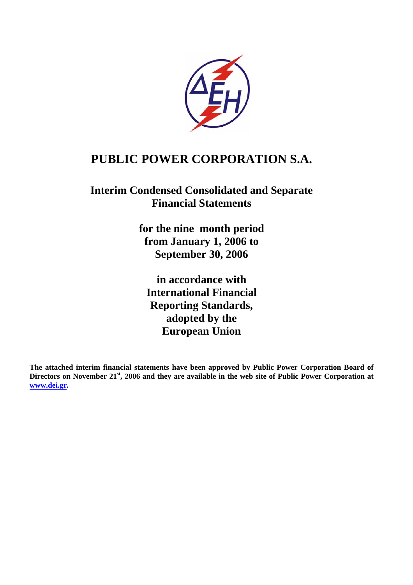

# **PUBLIC POWER CORPORATION S.A.**

# **Interim Condensed Consolidated and Separate Financial Statements**

**for the nine month period from January 1, 2006 to September 30, 2006** 

**in accordance with International Financial Reporting Standards, adopted by the European Union** 

**The attached interim financial statements have been approved by Public Power Corporation Board of Directors on November 21st, 2006 and they are available in the web site of Public Power Corporation at [www.dei.gr](http://www.dei.gr/).**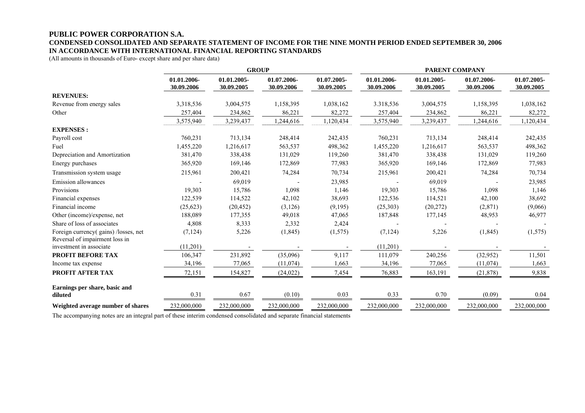#### **PUBLIC POWER CORPORATION S.A. CONDENSED CONSOLIDATED AND SEPARATE STATEMENT OF INCOME FOR THE NINE MONTH PERIOD ENDED SEPTEMBER 30, 2006 IN ACCORDANCE WITH INTERNATIONAL FINANCIAL REPORTING STANDARDS**

(All amounts in thousands of Euro- except share and per share data)

|                                                                       | <b>GROUP</b>              |                           |                           |                           | PARENT COMPANY            |                           |                           |                           |
|-----------------------------------------------------------------------|---------------------------|---------------------------|---------------------------|---------------------------|---------------------------|---------------------------|---------------------------|---------------------------|
|                                                                       | 01.01.2006-<br>30.09.2006 | 01.01.2005-<br>30.09.2005 | 01.07.2006-<br>30.09.2006 | 01.07.2005-<br>30.09.2005 | 01.01.2006-<br>30.09.2006 | 01.01.2005-<br>30.09.2005 | 01.07.2006-<br>30.09.2006 | 01.07.2005-<br>30.09.2005 |
| <b>REVENUES:</b>                                                      |                           |                           |                           |                           |                           |                           |                           |                           |
| Revenue from energy sales                                             | 3,318,536                 | 3,004,575                 | 1,158,395                 | 1,038,162                 | 3.318,536                 | 3,004,575                 | 1,158,395                 | 1,038,162                 |
| Other                                                                 | 257,404                   | 234,862                   | 86,221                    | 82,272                    | 257,404                   | 234,862                   | 86,221                    | 82,272                    |
|                                                                       | 3,575,940                 | 3,239,437                 | 1,244,616                 | 1,120,434                 | 3,575,940                 | 3,239,437                 | 1,244,616                 | 1,120,434                 |
| <b>EXPENSES:</b>                                                      |                           |                           |                           |                           |                           |                           |                           |                           |
| Payroll cost                                                          | 760,231                   | 713,134                   | 248,414                   | 242,435                   | 760,231                   | 713,134                   | 248,414                   | 242,435                   |
| Fuel                                                                  | 1,455,220                 | 1,216,617                 | 563,537                   | 498,362                   | 1,455,220                 | 1,216,617                 | 563,537                   | 498,362                   |
| Depreciation and Amortization                                         | 381,470                   | 338,438                   | 131,029                   | 119,260                   | 381,470                   | 338,438                   | 131,029                   | 119,260                   |
| Energy purchases                                                      | 365,920                   | 169,146                   | 172,869                   | 77,983                    | 365,920                   | 169,146                   | 172,869                   | 77,983                    |
| Transmission system usage                                             | 215,961                   | 200,421                   | 74,284                    | 70,734                    | 215,961                   | 200,421                   | 74,284                    | 70,734                    |
| Emission allowances                                                   |                           | 69,019                    |                           | 23,985                    |                           | 69,019                    |                           | 23,985                    |
| Provisions                                                            | 19,303                    | 15,786                    | 1,098                     | 1,146                     | 19,303                    | 15,786                    | 1,098                     | 1,146                     |
| Financial expenses                                                    | 122,539                   | 114,522                   | 42,102                    | 38,693                    | 122,536                   | 114,521                   | 42,100                    | 38,692                    |
| Financial income                                                      | (25, 623)                 | (20, 452)                 | (3,126)                   | (9,195)                   | (25, 303)                 | (20, 272)                 | (2,871)                   | (9,066)                   |
| Other (income)/expense, net                                           | 188,089                   | 177,355                   | 49,018                    | 47,065                    | 187,848                   | 177,145                   | 48,953                    | 46,977                    |
| Share of loss of associates                                           | 4,808                     | 8,333                     | 2,332                     | 2,424                     |                           |                           |                           |                           |
| Foreign currency(gains)/losses, net<br>Reversal of impairment loss in | (7, 124)                  | 5,226                     | (1, 845)                  | (1, 575)                  | (7, 124)                  | 5,226                     | (1, 845)                  | (1,575)                   |
| investment in associate                                               | (11,201)                  |                           |                           |                           | (11,201)                  |                           |                           |                           |
| <b>PROFIT BEFORE TAX</b>                                              | 106,347                   | 231,892                   | (35,096)                  | 9,117                     | 111,079                   | 240,256                   | (32, 952)                 | 11,501                    |
| Income tax expense                                                    | 34,196                    | 77,065                    | (11,074)                  | 1,663                     | 34,196                    | 77,065                    | (11, 074)                 | 1,663                     |
| PROFIT AFTER TAX                                                      | 72,151                    | 154,827                   | (24, 022)                 | 7,454                     | 76,883                    | 163,191                   | (21, 878)                 | 9,838                     |
| Earnings per share, basic and                                         |                           |                           |                           |                           |                           |                           |                           |                           |
| diluted                                                               | 0.31                      | 0.67                      | (0.10)                    | 0.03                      | 0.33                      | 0.70                      | (0.09)                    | 0.04                      |
| Weighted average number of shares                                     | 232,000,000               | 232,000,000               | 232,000,000               | 232,000,000               | 232,000,000               | 232,000,000               | 232,000,000               | 232,000,000               |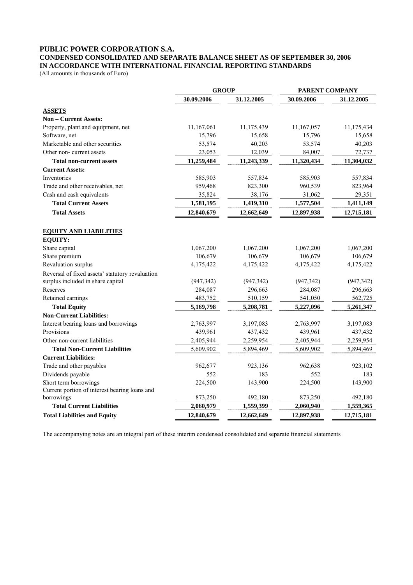### **PUBLIC POWER CORPORATION S.A.**

### **CONDENSED CONSOLIDATED AND SEPARATE BALANCE SHEET AS OF SEPTEMBER 30, 2006 IN ACCORDANCE WITH INTERNATIONAL FINANCIAL REPORTING STANDARDS**

(All amounts in thousands of Euro)

|                                                 | <b>GROUP</b> |            | PARENT COMPANY |            |  |
|-------------------------------------------------|--------------|------------|----------------|------------|--|
|                                                 | 30.09.2006   | 31.12.2005 | 30.09.2006     | 31.12.2005 |  |
| <b>ASSETS</b>                                   |              |            |                |            |  |
| Non - Current Assets:                           |              |            |                |            |  |
| Property, plant and equipment, net              | 11,167,061   | 11,175,439 | 11,167,057     | 11,175,434 |  |
| Software, net                                   | 15,796       | 15,658     | 15,796         | 15,658     |  |
| Marketable and other securities                 | 53,574       | 40,203     | 53,574         | 40,203     |  |
| Other non-current assets                        | 23,053       | 12,039     | 84,007         | 72,737     |  |
| Total non-current assets                        | 11,259,484   | 11,243,339 | 11,320,434     | 11,304,032 |  |
| <b>Current Assets:</b>                          |              |            |                |            |  |
| Inventories                                     | 585,903      | 557,834    | 585,903        | 557,834    |  |
| Trade and other receivables, net                | 959,468      | 823,300    | 960,539        | 823,964    |  |
| Cash and cash equivalents                       | 35,824       | 38,176     | 31,062         | 29,351     |  |
| <b>Total Current Assets</b>                     | 1,581,195    | 1,419,310  | 1,577,504      | 1,411,149  |  |
| <b>Total Assets</b>                             | 12,840,679   | 12,662,649 | 12,897,938     | 12,715,181 |  |
| <b>EQUITY AND LIABILITIES</b><br><b>EQUITY:</b> |              |            |                |            |  |
| Share capital                                   | 1,067,200    | 1,067,200  | 1,067,200      | 1,067,200  |  |
| Share premium                                   | 106,679      | 106,679    | 106,679        | 106,679    |  |
| Revaluation surplus                             | 4,175,422    | 4,175,422  | 4,175,422      | 4,175,422  |  |
| Reversal of fixed assets' statutory revaluation |              |            |                |            |  |
| surplus included in share capital               | (947, 342)   | (947, 342) | (947, 342)     | (947, 342) |  |
| Reserves                                        | 284,087      | 296,663    | 284,087        | 296,663    |  |
| Retained earnings                               | 483,752      | 510,159    | 541,050        | 562,725    |  |
| <b>Total Equity</b>                             | 5,169,798    | 5,208,781  | 5,227,096      | 5,261,347  |  |
| <b>Non-Current Liabilities:</b>                 |              |            |                |            |  |
| Interest bearing loans and borrowings           | 2,763,997    | 3,197,083  | 2,763,997      | 3,197,083  |  |
| Provisions                                      | 439,961      | 437,432    | 439,961        | 437,432    |  |
| Other non-current liabilities                   | 2,405,944    | 2,259,954  | 2,405,944      | 2,259,954  |  |
| <b>Total Non-Current Liabilities</b>            | 5,609,902    | 5,894,469  | 5,609,902      | 5,894,469  |  |
| <b>Current Liabilities:</b>                     |              |            |                |            |  |
| Trade and other payables                        | 962,677      | 923,136    | 962,638        | 923,102    |  |
| Dividends payable                               | 552          | 183        | 552            | 183        |  |
| Short term borrowings                           | 224,500      | 143,900    | 224,500        | 143,900    |  |
| Current portion of interest bearing loans and   |              |            |                |            |  |
| borrowings                                      | 873,250      | 492,180    | 873,250        | 492,180    |  |
| <b>Total Current Liabilities</b>                | 2,060,979    | 1,559,399  | 2,060,940      | 1,559,365  |  |
| <b>Total Liabilities and Equity</b>             | 12,840,679   | 12,662,649 | 12,897,938     | 12,715,181 |  |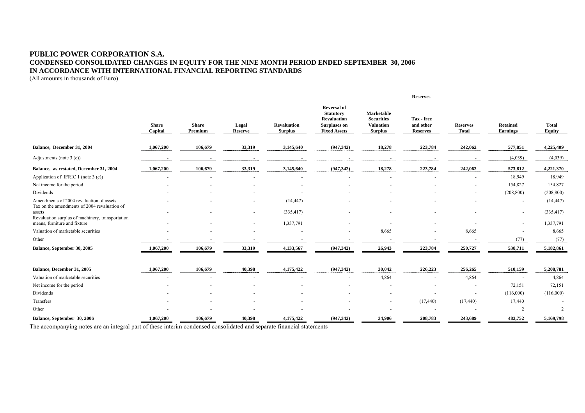#### **PUBLIC POWER CORPORATION S.A. CONDENSED CONSOLIDATED CHANGES IN EQUITY FOR THE NINE MONTH PERIOD ENDED SEPTEMBER 30, 2006 IN ACCORDANCE WITH INTERNATIONAL FINANCIAL REPORTING STANDARDS**

(All amounts in thousands of Euro)

|                                                                                          |                         |                         |                          |                                      |                                                                                                            | <b>Reserves</b>                                                              |                                            |                                 |                                    |                        |
|------------------------------------------------------------------------------------------|-------------------------|-------------------------|--------------------------|--------------------------------------|------------------------------------------------------------------------------------------------------------|------------------------------------------------------------------------------|--------------------------------------------|---------------------------------|------------------------------------|------------------------|
|                                                                                          | <b>Share</b><br>Capital | <b>Share</b><br>Premium | Legal<br><b>Reserve</b>  | <b>Revaluation</b><br><b>Surplus</b> | <b>Reversal of</b><br><b>Statutory</b><br><b>Revaluation</b><br><b>Surpluses on</b><br><b>Fixed Assets</b> | <b>Marketable</b><br><b>Securities</b><br><b>Valuation</b><br><b>Surplus</b> | Tax - free<br>and other<br><b>Reserves</b> | <b>Reserves</b><br><b>Total</b> | <b>Retained</b><br><b>Earnings</b> | <b>Total</b><br>Equity |
| Balance, December 31, 2004                                                               | 1,067,200               | 106,679                 | 33,319                   | 3,145,640                            | (947, 342)                                                                                                 | 18,278                                                                       | 223,784                                    | 242,062                         | 577,851                            | 4,225,409              |
| Adjustments (note $3(c)$ )                                                               |                         |                         |                          |                                      |                                                                                                            |                                                                              |                                            |                                 | (4,039)                            | (4,039)                |
| Balance, as restated, December 31, 2004                                                  | 1,067,200               | 106,679                 | 33,319                   | 3,145,640                            | (947, 342)                                                                                                 | 18,278                                                                       | 223,784                                    | 242,062                         | 573,812                            | 4,221,370              |
| Application of IFRIC 1 (note 3 $(c)$ )                                                   |                         |                         |                          |                                      |                                                                                                            |                                                                              |                                            |                                 | 18,949                             | 18,949                 |
| Net income for the period                                                                |                         |                         |                          |                                      |                                                                                                            |                                                                              |                                            |                                 | 154,827                            | 154,827                |
| Dividends                                                                                |                         |                         |                          |                                      |                                                                                                            |                                                                              |                                            | ٠                               | (208, 800)                         | (208, 800)             |
| Amendments of 2004 revaluation of assets<br>Tax on the amendments of 2004 revaluation of |                         |                         |                          | (14, 447)                            |                                                                                                            |                                                                              |                                            |                                 | $\overline{\phantom{a}}$           | (14, 447)              |
| assets<br>Revaluation surplus of machinery, transportation                               |                         |                         | $\overline{\phantom{a}}$ | (335, 417)                           |                                                                                                            |                                                                              |                                            |                                 | $\sim$                             | (335, 417)             |
| means, furniture and fixture                                                             |                         |                         | ٠                        | 1,337,791                            |                                                                                                            |                                                                              |                                            |                                 | $\sim$                             | 1,337,791              |
| Valuation of marketable securities                                                       |                         |                         |                          |                                      |                                                                                                            | 8,665                                                                        |                                            | 8,665                           |                                    | 8,665                  |
| Other                                                                                    |                         |                         |                          |                                      |                                                                                                            |                                                                              |                                            |                                 | (77)                               | (77)                   |
| Balance, September 30, 2005                                                              | 1,067,200               | 106,679                 | 33,319                   | 4,133,567                            | (947, 342)                                                                                                 | 26,943                                                                       | 223,784                                    | 250,727                         | 538,711                            | 5,182,861              |
| Balance, December 31, 2005                                                               | 1,067,200               | 106,679                 | 40,398                   | 4,175,422                            | (947, 342)                                                                                                 | 30,042                                                                       | 226,223                                    | 256,265                         | 510,159                            | 5,208,781              |
| Valuation of marketable securities                                                       |                         |                         |                          |                                      |                                                                                                            | 4,864                                                                        |                                            | 4,864                           | $\overline{\phantom{a}}$           | 4,864                  |
| Net income for the period                                                                |                         |                         |                          |                                      |                                                                                                            |                                                                              |                                            | $\overline{\phantom{a}}$        | 72,151                             | 72,151                 |
| Dividends                                                                                |                         |                         |                          |                                      |                                                                                                            |                                                                              |                                            |                                 | (116,000)                          | (116,000)              |
| Transfers                                                                                |                         |                         |                          |                                      |                                                                                                            |                                                                              | (17, 440)                                  | (17, 440)                       | 17,440                             |                        |
| Other                                                                                    |                         |                         |                          |                                      |                                                                                                            |                                                                              |                                            |                                 |                                    |                        |
| Balance, September 30, 2006                                                              | 1,067,200               | 106,679                 | 40,398                   | 4,175,422                            | (947, 342)                                                                                                 | 34,906                                                                       | 208,783                                    | 243,689                         | 483,752                            | 5,169,798              |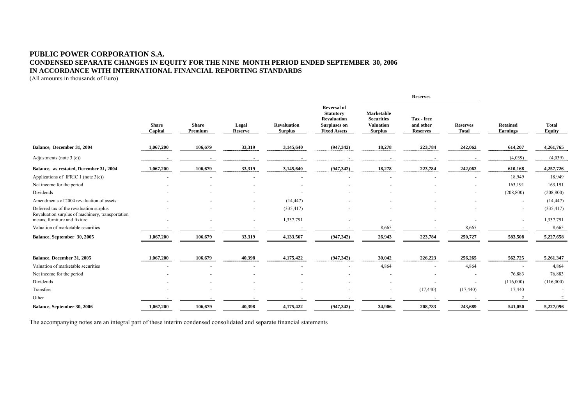#### **PUBLIC POWER CORPORATION S.A. CONDENSED SEPARATE CHANGES IN EQUITY FOR THE NINE MONTH PERIOD ENDED SEPTEMBER 30, 2006 IN ACCORDANCE WITH INTERNATIONAL FINANCIAL REPORTING STANDARDS**

(All amounts in thousands of Euro)

|                                                                                             |                         |                         |                         |                                      |                                                                                                            |                                                                              | <b>Reserves</b>                            |                                 |                                    |                        |
|---------------------------------------------------------------------------------------------|-------------------------|-------------------------|-------------------------|--------------------------------------|------------------------------------------------------------------------------------------------------------|------------------------------------------------------------------------------|--------------------------------------------|---------------------------------|------------------------------------|------------------------|
|                                                                                             | <b>Share</b><br>Capital | <b>Share</b><br>Premium | Legal<br><b>Reserve</b> | <b>Revaluation</b><br><b>Surplus</b> | <b>Reversal of</b><br><b>Statutory</b><br><b>Revaluation</b><br><b>Surpluses on</b><br><b>Fixed Assets</b> | <b>Marketable</b><br><b>Securities</b><br><b>Valuation</b><br><b>Surplus</b> | Tax - free<br>and other<br><b>Reserves</b> | <b>Reserves</b><br><b>Total</b> | <b>Retained</b><br><b>Earnings</b> | <b>Total</b><br>Equity |
| Balance, December 31, 2004                                                                  | 1,067,200               | 106,679                 | 33,319                  | 3,145,640                            | (947, 342)                                                                                                 | 18,278                                                                       | 223,784                                    | 242,062                         | 614,207                            | 4,261,765              |
| Adjustments (note $3(c)$ )                                                                  |                         |                         |                         |                                      | $\blacksquare$                                                                                             | $\blacksquare$                                                               |                                            |                                 | (4,039)                            | (4,039)                |
| Balance, as restated, December 31, 2004                                                     | 1,067,200               | 106,679                 | 33,319                  | 3,145,640                            | (947, 342)                                                                                                 | 18,278                                                                       | 223,784                                    | 242,062                         | 610,168                            | 4,257,726              |
| Applications of IFRIC 1 (note $3(c)$ )                                                      |                         |                         |                         |                                      |                                                                                                            |                                                                              |                                            |                                 | 18,949                             | 18,949                 |
| Net income for the period                                                                   |                         |                         |                         |                                      |                                                                                                            |                                                                              |                                            |                                 | 163,191                            | 163,191                |
| Dividends                                                                                   |                         |                         |                         |                                      |                                                                                                            |                                                                              |                                            |                                 | (208, 800)                         | (208, 800)             |
| Amendments of 2004 revaluation of assets                                                    |                         |                         |                         | (14, 447)                            |                                                                                                            |                                                                              |                                            |                                 | $\overline{\phantom{a}}$           | (14, 447)              |
| Deferred tax of the revaluation surplus<br>Revaluation surplus of machinery, transportation |                         |                         |                         | (335, 417)                           |                                                                                                            |                                                                              |                                            |                                 |                                    | (335, 417)             |
| means, furniture and fixture                                                                |                         |                         |                         | 1,337,791                            |                                                                                                            |                                                                              |                                            |                                 |                                    | 1,337,791              |
| Valuation of marketable securities                                                          |                         |                         |                         |                                      |                                                                                                            | 8,665                                                                        |                                            | 8,665                           |                                    | 8,665                  |
| Balance, September 30, 2005                                                                 | 1,067,200               | 106,679                 | 33,319                  | 4,133,567                            | (947, 342)                                                                                                 | 26,943                                                                       | 223,784                                    | 250,727                         | 583,508                            | 5,227,658              |
| Balance, December 31, 2005                                                                  | 1,067,200               | 106,679                 | 40,398                  | 4,175,422                            | (947, 342)                                                                                                 | 30.042                                                                       | 226,223                                    | 256,265                         | 562,725                            | 5,261,347              |
| Valuation of marketable securities                                                          |                         |                         |                         |                                      |                                                                                                            | 4,864                                                                        |                                            | 4,864                           |                                    | 4,864                  |
| Net income for the period                                                                   |                         |                         |                         |                                      |                                                                                                            |                                                                              |                                            |                                 | 76,883                             | 76,883                 |
| Dividends                                                                                   |                         |                         |                         |                                      |                                                                                                            |                                                                              |                                            |                                 | (116,000)                          | (116,000)              |
| Transfers                                                                                   |                         |                         |                         |                                      |                                                                                                            |                                                                              | (17, 440)                                  | (17, 440)                       | 17,440                             |                        |
| Other                                                                                       |                         |                         |                         |                                      |                                                                                                            |                                                                              |                                            |                                 |                                    |                        |
| Balance, September 30, 2006                                                                 | 1,067,200               | 106,679                 | 40,398                  | 4,175,422                            | (947, 342)                                                                                                 | 34,906                                                                       | 208,783                                    | 243,689                         | 541,050                            | 5,227,096              |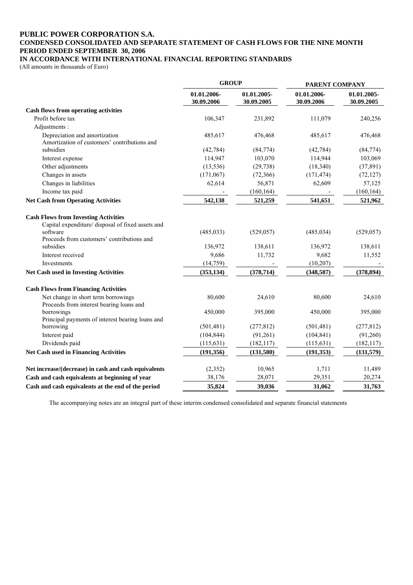#### **PUBLIC POWER CORPORATION S.A. CONDENSED CONSOLIDATED AND SEPARATE STATEMENT OF CASH FLOWS FOR THE NINE MONTH PERIOD ENDED SEPTEMBER 30, 2006 IN ACCORDANCE WITH INTERNATIONAL FINANCIAL REPORTING STANDARDS**

(All amounts in thousands of Euro)

|                                                                                                              | <b>GROUP</b>              |                           | PARENT COMPANY            |                           |  |
|--------------------------------------------------------------------------------------------------------------|---------------------------|---------------------------|---------------------------|---------------------------|--|
|                                                                                                              | 01.01.2006-<br>30.09.2006 | 01.01.2005-<br>30.09.2005 | 01.01.2006-<br>30.09.2006 | 01.01.2005-<br>30.09.2005 |  |
| <b>Cash flows from operating activities</b>                                                                  |                           |                           |                           |                           |  |
| Profit before tax                                                                                            | 106,347                   | 231,892                   | 111,079                   | 240,256                   |  |
| Adjustments :                                                                                                |                           |                           |                           |                           |  |
| Depreciation and amortization<br>Amortization of customers' contributions and                                | 485,617                   | 476,468                   | 485,617                   | 476,468                   |  |
| subsidies                                                                                                    | (42, 784)                 | (84, 774)                 | (42, 784)                 | (84, 774)                 |  |
| Interest expense                                                                                             | 114,947                   | 103,070                   | 114,944                   | 103,069                   |  |
| Other adjustments                                                                                            | (13, 536)                 | (29, 738)                 | (18, 340)                 | (37, 891)                 |  |
| Changes in assets                                                                                            | (171,067)                 | (72,366)                  | (171, 474)                | (72, 127)                 |  |
| Changes in liabilities                                                                                       | 62,614                    | 56,871                    | 62,609                    | 57,125                    |  |
| Income tax paid                                                                                              |                           | (160, 164)                |                           | (160, 164)                |  |
| <b>Net Cash from Operating Activities</b>                                                                    | 542,138                   | 521,259                   | 541,651                   | 521,962                   |  |
| <b>Cash Flows from Investing Activities</b><br>Capital expenditure/ disposal of fixed assets and<br>software | (485, 033)                | (529, 057)                | (485, 034)                | (529, 057)                |  |
| Proceeds from customers' contributions and<br>subsidies                                                      | 136,972                   | 138,611                   | 136,972                   | 138,611                   |  |
| Interest received                                                                                            | 9,686                     | 11,732                    | 9,682                     | 11,552                    |  |
| Investments                                                                                                  | (14, 759)                 |                           | (10, 207)                 |                           |  |
| <b>Net Cash used in Investing Activities</b>                                                                 | (353, 134)                | (378, 714)                | (348, 587)                | (378, 894)                |  |
| <b>Cash Flows from Financing Activities</b>                                                                  |                           |                           |                           |                           |  |
| Net change in short term borrowings<br>Proceeds from interest bearing loans and                              | 80,600                    | 24,610                    | 80,600                    | 24,610                    |  |
| borrowings<br>Principal payments of interest bearing loans and                                               | 450,000                   | 395,000                   | 450,000                   | 395,000                   |  |
| borrowing                                                                                                    | (501, 481)                | (277, 812)                | (501, 481)                | (277, 812)                |  |
| Interest paid                                                                                                | (104, 844)                | (91,261)                  | (104, 841)                | (91,260)                  |  |
| Dividends paid                                                                                               | (115, 631)                | (182, 117)                | (115, 631)                | (182, 117)                |  |
| Net Cash used in Financing Activities                                                                        | (191,356)                 | (131,580)                 | (191,353)                 | (131, 579)                |  |
| Net increase/(decrease) in cash and cash equivalents                                                         | (2, 352)                  | 10,965                    | 1,711                     | 11,489                    |  |
| Cash and cash equivalents at beginning of year                                                               | 38,176                    | 28,071                    | 29,351                    | 20,274                    |  |
| Cash and cash equivalents at the end of the period                                                           | 35,824                    | 39,036                    | 31,062                    | 31,763                    |  |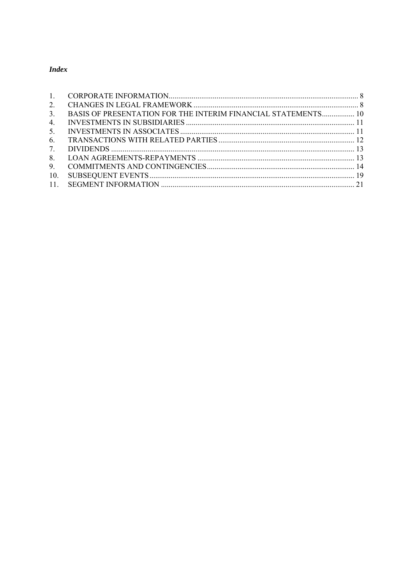### **Index**

| $\mathbf{1}$   |                                                                      |  |
|----------------|----------------------------------------------------------------------|--|
| 2.             |                                                                      |  |
| 3 <sub>1</sub> | <b>BASIS OF PRESENTATION FOR THE INTERIM FINANCIAL STATEMENTS 10</b> |  |
| 4.             |                                                                      |  |
| 5.             |                                                                      |  |
| 6.             |                                                                      |  |
| 7.             |                                                                      |  |
| 8.             |                                                                      |  |
| 9.             |                                                                      |  |
| 10.            |                                                                      |  |
|                |                                                                      |  |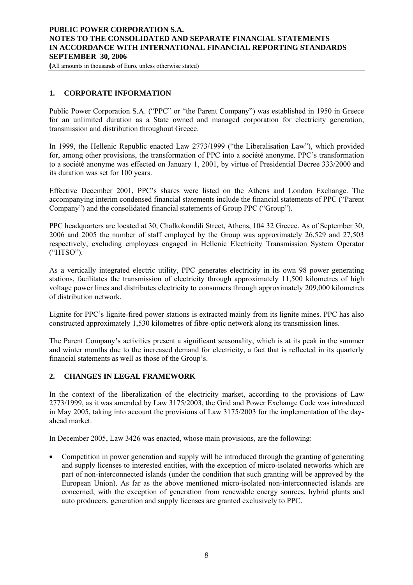### <span id="page-7-0"></span>**PUBLIC POWER CORPORATION S.A. NOTES TO THE CONSOLIDATED AND SEPARATE FINANCIAL STATEMENTS IN ACCORDANCE WITH INTERNATIONAL FINANCIAL REPORTING STANDARDS SEPTEMBER 30, 2006**

**(**All amounts in thousands of Euro, unless otherwise stated)

### **1. CORPORATE INFORMATION**

Public Power Corporation S.A. ("PPC" or "the Parent Company") was established in 1950 in Greece for an unlimited duration as a State owned and managed corporation for electricity generation, transmission and distribution throughout Greece.

In 1999, the Hellenic Republic enacted Law 2773/1999 ("the Liberalisation Law"), which provided for, among other provisions, the transformation of PPC into a société anonyme. PPC's transformation to a société anonyme was effected on January 1, 2001, by virtue of Presidential Decree 333/2000 and its duration was set for 100 years.

Effective December 2001, PPC's shares were listed on the Athens and London Exchange. The accompanying interim condensed financial statements include the financial statements of PPC ("Parent Company") and the consolidated financial statements of Group PPC ("Group").

PPC headquarters are located at 30, Chalkokondili Street, Athens, 104 32 Greece. As of September 30, 2006 and 2005 the number of staff employed by the Group was approximately 26,529 and 27,503 respectively, excluding employees engaged in Hellenic Electricity Transmission System Operator ("HTSO").

As a vertically integrated electric utility, PPC generates electricity in its own 98 power generating stations, facilitates the transmission of electricity through approximately 11,500 kilometres of high voltage power lines and distributes electricity to consumers through approximately 209,000 kilometres of distribution network.

Lignite for PPC's lignite-fired power stations is extracted mainly from its lignite mines. PPC has also constructed approximately 1,530 kilometres of fibre-optic network along its transmission lines.

The Parent Company's activities present a significant seasonality, which is at its peak in the summer and winter months due to the increased demand for electricity, a fact that is reflected in its quarterly financial statements as well as those of the Group's.

### **2. CHANGES IN LEGAL FRAMEWORK**

In the context of the liberalization of the electricity market, according to the provisions of Law 2773/1999, as it was amended by Law 3175/2003, the Grid and Power Exchange Code was introduced in May 2005, taking into account the provisions of Law 3175/2003 for the implementation of the dayahead market.

In December 2005, Law 3426 was enacted, whose main provisions, are the following:

• Competition in power generation and supply will be introduced through the granting of generating and supply licenses to interested entities, with the exception of micro-isolated networks which are part of non-interconnected islands (under the condition that such granting will be approved by the European Union). As far as the above mentioned micro-isolated non-interconnected islands are concerned, with the exception of generation from renewable energy sources, hybrid plants and auto producers, generation and supply licenses are granted exclusively to PPC.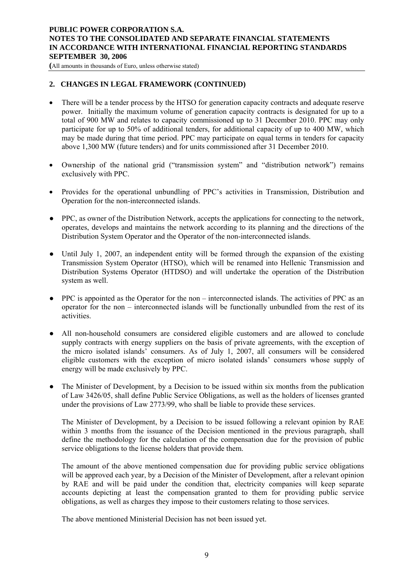### **PUBLIC POWER CORPORATION S.A. NOTES TO THE CONSOLIDATED AND SEPARATE FINANCIAL STATEMENTS IN ACCORDANCE WITH INTERNATIONAL FINANCIAL REPORTING STANDARDS SEPTEMBER 30, 2006**

**(**All amounts in thousands of Euro, unless otherwise stated)

### **2. CHANGES IN LEGAL FRAMEWORK (CONTINUED)**

- There will be a tender process by the HTSO for generation capacity contracts and adequate reserve power. Initially the maximum volume of generation capacity contracts is designated for up to a total of 900 MW and relates to capacity commissioned up to 31 December 2010. PPC may only participate for up to 50% of additional tenders, for additional capacity of up to 400 MW, which may be made during that time period. PPC may participate on equal terms in tenders for capacity above 1,300 MW (future tenders) and for units commissioned after 31 December 2010.
- Ownership of the national grid ("transmission system" and "distribution network") remains exclusively with PPC.
- Provides for the operational unbundling of PPC's activities in Transmission, Distribution and Operation for the non-interconnected islands.
- PPC, as owner of the Distribution Network, accepts the applications for connecting to the network, operates, develops and maintains the network according to its planning and the directions of the Distribution System Operator and the Operator of the non-interconnected islands.
- Until July 1, 2007, an independent entity will be formed through the expansion of the existing Transmission System Operator (HTSO), which will be renamed into Hellenic Transmission and Distribution Systems Operator (HTDSO) and will undertake the operation of the Distribution system as well.
- PPC is appointed as the Operator for the non interconnected islands. The activities of PPC as an operator for the non – interconnected islands will be functionally unbundled from the rest of its activities.
- All non-household consumers are considered eligible customers and are allowed to conclude supply contracts with energy suppliers on the basis of private agreements, with the exception of the micro isolated islands' consumers. As of July 1, 2007, all consumers will be considered eligible customers with the exception of micro isolated islands' consumers whose supply of energy will be made exclusively by PPC.
- The Minister of Development, by a Decision to be issued within six months from the publication of Law 3426/05, shall define Public Service Obligations, as well as the holders of licenses granted under the provisions of Law 2773/99, who shall be liable to provide these services.

The Minister of Development, by a Decision to be issued following a relevant opinion by RAE within 3 months from the issuance of the Decision mentioned in the previous paragraph, shall define the methodology for the calculation of the compensation due for the provision of public service obligations to the license holders that provide them.

The amount of the above mentioned compensation due for providing public service obligations will be approved each year, by a Decision of the Minister of Development, after a relevant opinion by RAE and will be paid under the condition that, electricity companies will keep separate accounts depicting at least the compensation granted to them for providing public service obligations, as well as charges they impose to their customers relating to those services.

The above mentioned Ministerial Decision has not been issued yet.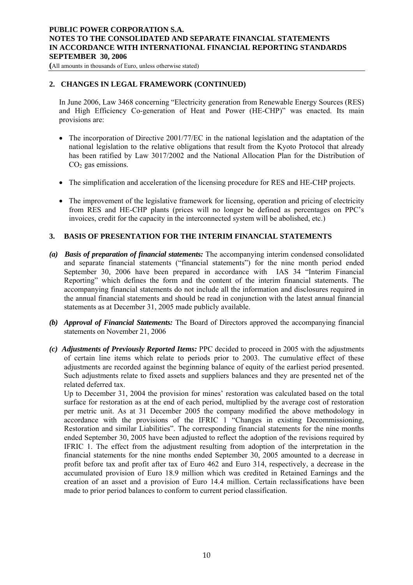### <span id="page-9-0"></span>**PUBLIC POWER CORPORATION S.A. NOTES TO THE CONSOLIDATED AND SEPARATE FINANCIAL STATEMENTS IN ACCORDANCE WITH INTERNATIONAL FINANCIAL REPORTING STANDARDS SEPTEMBER 30, 2006**

**(**All amounts in thousands of Euro, unless otherwise stated)

### **2. CHANGES IN LEGAL FRAMEWORK (CONTINUED)**

In June 2006, Law 3468 concerning "Electricity generation from Renewable Energy Sources (RES) and High Efficiency Co-generation of Heat and Power (HE-CHP)" was enacted. Its main provisions are:

- The incorporation of Directive 2001/77/EC in the national legislation and the adaptation of the national legislation to the relative obligations that result from the Kyoto Protocol that already has been ratified by Law 3017/2002 and the National Allocation Plan for the Distribution of  $CO<sub>2</sub>$  gas emissions.
- The simplification and acceleration of the licensing procedure for RES and HE-CHP projects.
- The improvement of the legislative framework for licensing, operation and pricing of electricity from RES and HE-CHP plants (prices will no longer be defined as percentages on PPC's invoices, credit for the capacity in the interconnected system will be abolished, etc.)

### **3. BASIS OF PRESENTATION FOR THE INTERIM FINANCIAL STATEMENTS**

- *(a) Basis of preparation of financial statements:* The accompanying interim condensed consolidated and separate financial statements ("financial statements") for the nine month period ended September 30, 2006 have been prepared in accordance with IAS 34 "Interim Financial Reporting" which defines the form and the content of the interim financial statements. The accompanying financial statements do not include all the information and disclosures required in the annual financial statements and should be read in conjunction with the latest annual financial statements as at December 31, 2005 made publicly available.
- *(b) Approval of Financial Statements:* The Board of Directors approved the accompanying financial statements on November 21, 2006
- *(c) Adjustments of Previously Reported Items:* PPC decided to proceed in 2005 with the adjustments of certain line items which relate to periods prior to 2003. The cumulative effect of these adjustments are recorded against the beginning balance of equity of the earliest period presented. Such adjustments relate to fixed assets and suppliers balances and they are presented net of the related deferred tax.

Up to December 31, 2004 the provision for mines' restoration was calculated based on the total surface for restoration as at the end of each period, multiplied by the average cost of restoration per metric unit. As at 31 December 2005 the company modified the above methodology in accordance with the provisions of the IFRIC 1 "Changes in existing Decommissioning, Restoration and similar Liabilities". The corresponding financial statements for the nine months ended September 30, 2005 have been adjusted to reflect the adoption of the revisions required by IFRIC 1. The effect from the adjustment resulting from adoption of the interpretation in the financial statements for the nine months ended September 30, 2005 amounted to a decrease in profit before tax and profit after tax of Euro 462 and Euro 314, respectively, a decrease in the accumulated provision of Euro 18.9 million which was credited in Retained Earnings and the creation of an asset and a provision of Euro 14.4 million. Certain reclassifications have been made to prior period balances to conform to current period classification.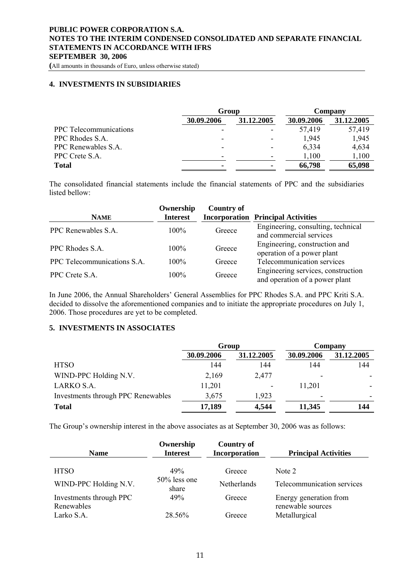<span id="page-10-0"></span>**(**All amounts in thousands of Euro, unless otherwise stated)

### **4. INVESTMENTS IN SUBSIDIARIES**

|                               | Group                    |            | Company    |            |  |
|-------------------------------|--------------------------|------------|------------|------------|--|
|                               | 30.09.2006               | 31.12.2005 | 30.09.2006 | 31.12.2005 |  |
| <b>PPC</b> Telecommunications | $\overline{\phantom{0}}$ |            | 57,419     | 57,419     |  |
| PPC Rhodes S.A.               | $\overline{\phantom{0}}$ |            | 1.945      | 1,945      |  |
| PPC Renewables S.A.           | $\overline{\phantom{a}}$ |            | 6,334      | 4,634      |  |
| PPC Crete S.A.                | $\overline{\phantom{0}}$ |            | 1,100      | 1,100      |  |
| <b>Total</b>                  |                          |            | 66,798     | 65,098     |  |

The consolidated financial statements include the financial statements of PPC and the subsidiaries listed bellow:

| <b>NAME</b>                 | Ownership<br><b>Interest</b> | <b>Country of</b> | <b>Incorporation Principal Activities</b>                            |
|-----------------------------|------------------------------|-------------------|----------------------------------------------------------------------|
| PPC Renewables S.A.         | $100\%$                      | Greece            | Engineering, consulting, technical<br>and commercial services        |
| PPC Rhodes S.A.             | $100\%$                      | Greece            | Engineering, construction and<br>operation of a power plant          |
| PPC Telecommunications S.A. | $100\%$                      | Greece            | Telecommunication services                                           |
| PPC Crete S.A.              | 100%                         | Greece            | Engineering services, construction<br>and operation of a power plant |

In June 2006, the Annual Shareholders' General Assemblies for PPC Rhodes S.A. and PPC Kriti S.A. decided to dissolve the aforementioned companies and to initiate the appropriate procedures on July 1, 2006. Those procedures are yet to be completed.

### **5. INVESTMENTS IN ASSOCIATES**

|                                    | Group      |            | Company    |            |  |
|------------------------------------|------------|------------|------------|------------|--|
|                                    | 30.09.2006 | 31.12.2005 | 30.09.2006 | 31.12.2005 |  |
| <b>HTSO</b>                        | 144        | 144        | 144        | 144        |  |
| WIND-PPC Holding N.V.              | 2,169      | 2,477      | ٠          |            |  |
| LARKO S.A.                         | 11,201     |            | 11,201     |            |  |
| Investments through PPC Renewables | 3,675      | 1,923      | ۰          |            |  |
| <b>Total</b>                       | 17,189     | 4,544      | 11,345     | 144        |  |

The Group's ownership interest in the above associates as at September 30, 2006 was as follows:

| <b>Name</b>                           | Ownership<br><b>Interest</b> | <b>Country of</b><br>Incorporation | <b>Principal Activities</b>                 |
|---------------------------------------|------------------------------|------------------------------------|---------------------------------------------|
| <b>HTSO</b>                           | 49%                          | Greece                             | Note 2                                      |
| WIND-PPC Holding N.V.                 | $50\%$ less one<br>share     | Netherlands                        | Telecommunication services                  |
| Investments through PPC<br>Renewables | 49%                          | Greece                             | Energy generation from<br>renewable sources |
| Larko S.A.                            | 28.56%                       | Greece                             | Metallurgical                               |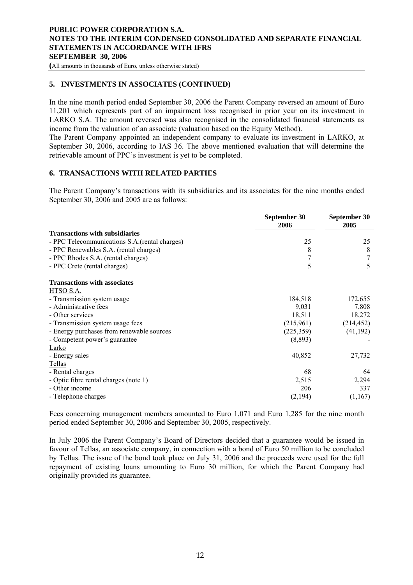<span id="page-11-0"></span>**(**All amounts in thousands of Euro, unless otherwise stated)

### **5. INVESTMENTS IN ASSOCIATES (CONTINUED)**

In the nine month period ended September 30, 2006 the Parent Company reversed an amount of Euro 11,201 which represents part of an impairment loss recognised in prior year on its investment in LARKO S.A. The amount reversed was also recognised in the consolidated financial statements as income from the valuation of an associate (valuation based on the Equity Method).

The Parent Company appointed an independent company to evaluate its investment in LARKO, at September 30, 2006, according to IAS 36. The above mentioned evaluation that will determine the retrievable amount of PPC's investment is yet to be completed.

# **6. TRANSACTIONS WITH RELATED PARTIES**

The Parent Company's transactions with its subsidiaries and its associates for the nine months ended September 30, 2006 and 2005 are as follows:

|                                               | September 30<br>2006 | September 30<br>2005 |
|-----------------------------------------------|----------------------|----------------------|
| <b>Transactions with subsidiaries</b>         |                      |                      |
| - PPC Telecommunications S.A.(rental charges) | 25                   | 25                   |
| - PPC Renewables S.A. (rental charges)        | 8                    | 8                    |
| - PPC Rhodes S.A. (rental charges)            | 7                    |                      |
| - PPC Crete (rental charges)                  | 5                    | 5                    |
| <b>Transactions with associates</b>           |                      |                      |
| HTSO S.A.                                     |                      |                      |
| - Transmission system usage                   | 184,518              | 172,655              |
| - Administrative fees                         | 9,031                | 7,808                |
| - Other services                              | 18,511               | 18,272               |
| - Transmission system usage fees              | (215,961)            | (214, 452)           |
| - Energy purchases from renewable sources     | (225, 359)           | (41, 192)            |
| - Competent power's guarantee                 | (8,893)              |                      |
| Larko                                         |                      |                      |
| - Energy sales                                | 40,852               | 27,732               |
| Tellas                                        |                      |                      |
| - Rental charges                              | 68                   | 64                   |
| - Optic fibre rental charges (note 1)         | 2,515                | 2,294                |
| - Other income                                | 206                  | 337                  |
| - Telephone charges                           | (2,194)              | (1,167)              |

Fees concerning management members amounted to Euro 1,071 and Euro 1,285 for the nine month period ended September 30, 2006 and September 30, 2005, respectively.

In July 2006 the Parent Company's Board of Directors decided that a guarantee would be issued in favour of Tellas, an associate company, in connection with a bond of Euro 50 million to be concluded by Tellas. The issue of the bond took place on July 31, 2006 and the proceeds were used for the full repayment of existing loans amounting to Euro 30 million, for which the Parent Company had originally provided its guarantee.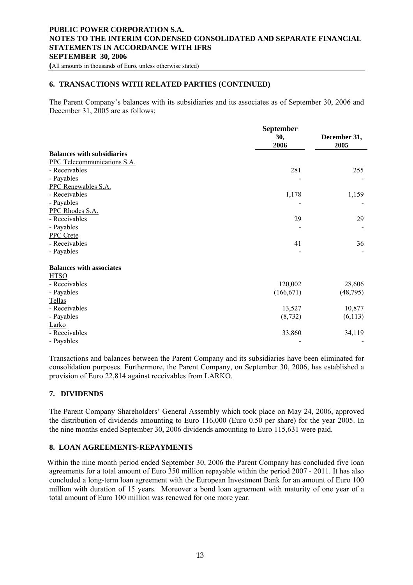<span id="page-12-0"></span>**(**All amounts in thousands of Euro, unless otherwise stated)

# **6. TRANSACTIONS WITH RELATED PARTIES (CONTINUED)**

The Parent Company's balances with its subsidiaries and its associates as of September 30, 2006 and December 31, 2005 are as follows:

|                                   | September   |                      |
|-----------------------------------|-------------|----------------------|
|                                   | 30,<br>2006 | December 31,<br>2005 |
| <b>Balances with subsidiaries</b> |             |                      |
| PPC Telecommunications S.A.       |             |                      |
| - Receivables                     | 281         | 255                  |
| - Payables                        |             |                      |
| PPC Renewables S.A.               |             |                      |
| - Receivables                     | 1,178       | 1,159                |
| - Payables                        |             |                      |
| PPC Rhodes S.A.                   |             |                      |
| - Receivables                     | 29          | 29                   |
| - Payables                        |             |                      |
| PPC Crete                         |             |                      |
| - Receivables                     | 41          | 36                   |
| - Payables                        |             |                      |
| <b>Balances with associates</b>   |             |                      |
| <b>HTSO</b>                       |             |                      |
| - Receivables                     | 120,002     | 28,606               |
| - Payables                        | (166, 671)  | (48, 795)            |
| Tellas                            |             |                      |
| - Receivables                     | 13,527      | 10,877               |
| - Payables                        | (8, 732)    | (6,113)              |
| Larko                             |             |                      |
| - Receivables                     | 33,860      | 34,119               |
| - Payables                        |             |                      |

Transactions and balances between the Parent Company and its subsidiaries have been eliminated for consolidation purposes. Furthermore, the Parent Company, on September 30, 2006, has established a provision of Euro 22,814 against receivables from LARKO.

### **7. DIVIDENDS**

The Parent Company Shareholders' General Assembly which took place on May 24, 2006, approved the distribution of dividends amounting to Euro 116,000 (Euro 0.50 per share) for the year 2005. In the nine months ended September 30, 2006 dividends amounting to Euro 115,631 were paid.

#### **8. LOAN AGREEMENTS-REPAYMENTS**

Within the nine month period ended September 30, 2006 the Parent Company has concluded five loan agreements for a total amount of Euro 350 million repayable within the period 2007 - 2011. It has also concluded a long-term loan agreement with the European Investment Bank for an amount of Euro 100 million with duration of 15 years. Moreover a bond loan agreement with maturity of one year of a total amount of Euro 100 million was renewed for one more year.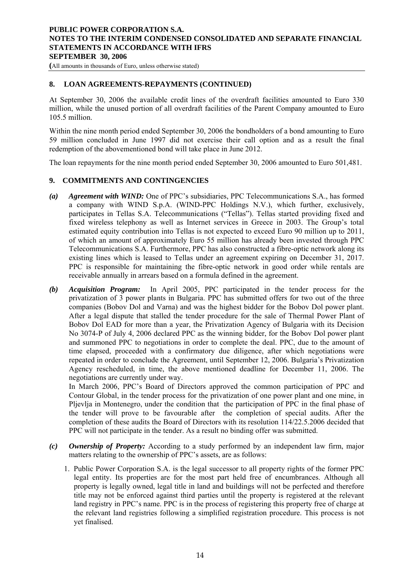<span id="page-13-0"></span>**(**All amounts in thousands of Euro, unless otherwise stated)

# **8. LOAN AGREEMENTS-REPAYMENTS (CONTINUED)**

At September 30, 2006 the available credit lines of the overdraft facilities amounted to Euro 330 million, while the unused portion of all overdraft facilities of the Parent Company amounted to Euro 105.5 million.

Within the nine month period ended September 30, 2006 the bondholders of a bond amounting to Euro 59 million concluded in June 1997 did not exercise their call option and as a result the final redemption of the abovementioned bond will take place in June 2012.

The loan repayments for the nine month period ended September 30, 2006 amounted to Euro 501,481.

### **9. COMMITMENTS AND CONTINGENCIES**

- *(a) Agreement with WIND:* One of PPC's subsidiaries, PPC Telecommunications S.A., has formed a company with WIND S.p.A. (WIND-PPC Holdings N.V.), which further, exclusively, participates in Tellas S.A. Telecommunications ("Tellas"). Tellas started providing fixed and fixed wireless telephony as well as Internet services in Greece in 2003. The Group's total estimated equity contribution into Tellas is not expected to exceed Euro 90 million up to 2011, of which an amount of approximately Euro 55 million has already been invested through PPC Telecommunications S.A. Furthermore, PPC has also constructed a fibre-optic network along its existing lines which is leased to Tellas under an agreement expiring on December 31, 2017. PPC is responsible for maintaining the fibre-optic network in good order while rentals are receivable annually in arrears based on a formula defined in the agreement.
- *(b) Acquisition Program:* In April 2005, PPC participated in the tender process for the privatization of 3 power plants in Bulgaria. PPC has submitted offers for two out of the three companies (Bobov Dol and Varna) and was the highest bidder for the Bobov Dol power plant. After a legal dispute that stalled the tender procedure for the sale of Thermal Power Plant of Bobov Dol EAD for more than a year, the Privatization Agency of Bulgaria with its Decision No 3074-P of July 4, 2006 declared PPC as the winning bidder, for the Bobov Dol power plant and summoned PPC to negotiations in order to complete the deal. PPC, due to the amount of time elapsed, proceeded with a confirmatory due diligence, after which negotiations were repeated in order to conclude the Agreement, until September 12, 2006. Bulgaria's Privatization Agency rescheduled, in time, the above mentioned deadline for December 11, 2006. The negotiations are currently under way.

In March 2006, PPC's Board of Directors approved the common participation of PPC and Contour Global, in the tender process for the privatization of one power plant and one mine, in Pljevlja in Montenegro, under the condition that the participation of PPC in the final phase of the tender will prove to be favourable after the completion of special audits. After the completion of these audits the Board of Directors with its resolution 114/22.5.2006 decided that PPC will not participate in the tender. As a result no binding offer was submitted.

- *(c) Ownership of Property:* According to a study performed by an independent law firm, major matters relating to the ownership of PPC's assets, are as follows:
	- 1. Public Power Corporation S.A. is the legal successor to all property rights of the former PPC legal entity. Its properties are for the most part held free of encumbrances. Although all property is legally owned, legal title in land and buildings will not be perfected and therefore title may not be enforced against third parties until the property is registered at the relevant land registry in PPC's name. PPC is in the process of registering this property free of charge at the relevant land registries following a simplified registration procedure. This process is not yet finalised.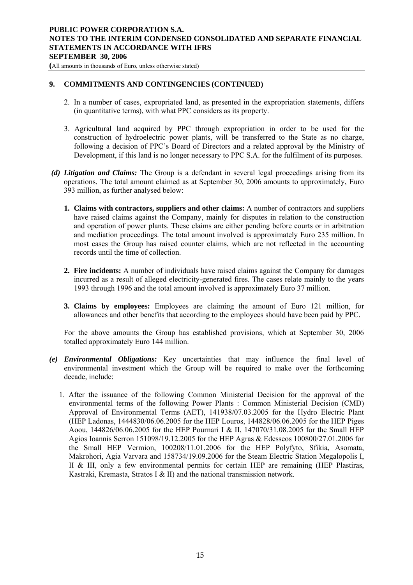**(**All amounts in thousands of Euro, unless otherwise stated)

# **9. COMMITMENTS AND CONTINGENCIES (CONTINUED)**

- 2. In a number of cases, expropriated land, as presented in the expropriation statements, differs (in quantitative terms), with what PPC considers as its property.
- 3. Agricultural land acquired by PPC through expropriation in order to be used for the construction of hydroelectric power plants, will be transferred to the State as no charge, following a decision of PPC's Board of Directors and a related approval by the Ministry of Development, if this land is no longer necessary to PPC S.A. for the fulfilment of its purposes.
- *(d) Litigation and Claims:* The Group is a defendant in several legal proceedings arising from its operations. The total amount claimed as at September 30, 2006 amounts to approximately, Euro 393 million, as further analysed below:
	- **1. Claims with contractors, suppliers and other claims:** A number of contractors and suppliers have raised claims against the Company, mainly for disputes in relation to the construction and operation of power plants. These claims are either pending before courts or in arbitration and mediation proceedings. The total amount involved is approximately Euro 235 million. In most cases the Group has raised counter claims, which are not reflected in the accounting records until the time of collection.
	- **2. Fire incidents:** A number of individuals have raised claims against the Company for damages incurred as a result of alleged electricity-generated fires. The cases relate mainly to the years 1993 through 1996 and the total amount involved is approximately Euro 37 million.
	- **3. Claims by employees:** Employees are claiming the amount of Euro 121 million, for allowances and other benefits that according to the employees should have been paid by PPC.

For the above amounts the Group has established provisions, which at September 30, 2006 totalled approximately Euro 144 million.

- *(e) Environmental Obligations:* Key uncertainties that may influence the final level of environmental investment which the Group will be required to make over the forthcoming decade, include:
	- 1. After the issuance of the following Common Ministerial Decision for the approval of the environmental terms of the following Power Plants : Common Ministerial Decision (CMD) Approval of Environmental Terms (AET), 141938/07.03.2005 for the Hydro Electric Plant (HEP Ladonas, 1444830/06.06.2005 for the HEP Louros, 144828/06.06.2005 for the HEP Piges Aoou, 144826/06.06.2005 for the HEP Pournari I & II, 147070/31.08.2005 for the Small HEP Agios Ioannis Serron 151098/19.12.2005 for the HEP Agras & Edesseos 100800/27.01.2006 for the Small HEP Vermion, 100208/11.01.2006 for the HEP Polyfyto, Sfikia, Asomata, Makrohori, Agia Varvara and 158734/19.09.2006 for the Steam Electric Station Megalopolis I, II & III, only a few environmental permits for certain HEP are remaining (HEP Plastiras, Kastraki, Kremasta, Stratos I & II) and the national transmission network.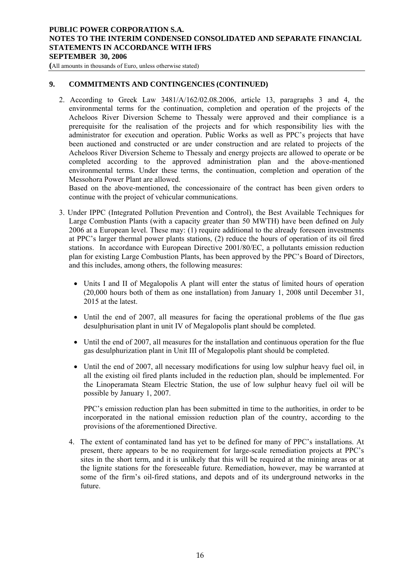**(**All amounts in thousands of Euro, unless otherwise stated)

# **9. COMMITMENTS AND CONTINGENCIES (CONTINUED)**

2. According to Greek Law 3481/A/162/02.08.2006, article 13, paragraphs 3 and 4, the environmental terms for the continuation, completion and operation of the projects of the Acheloos River Diversion Scheme to Thessaly were approved and their compliance is a prerequisite for the realisation of the projects and for which responsibility lies with the administrator for execution and operation. Public Works as well as PPC's projects that have been auctioned and constructed or are under construction and are related to projects of the Acheloos River Diversion Scheme to Thessaly and energy projects are allowed to operate or be completed according to the approved administration plan and the above-mentioned environmental terms. Under these terms, the continuation, completion and operation of the Messohora Power Plant are allowed.

Based on the above-mentioned, the concessionaire of the contract has been given orders to continue with the project of vehicular communications.

- 3. Under IPPC (Integrated Pollution Prevention and Control), the Best Available Techniques for Large Combustion Plants (with a capacity greater than 50 MWTH) have been defined on July 2006 at a European level. These may: (1) require additional to the already foreseen investments at PPC's larger thermal power plants stations, (2) reduce the hours of operation of its oil fired stations. In accordance with European Directive 2001/80/EC, a pollutants emission reduction plan for existing Large Combustion Plants, has been approved by the PPC's Board of Directors, and this includes, among others, the following measures:
	- Units I and II of Megalopolis A plant will enter the status of limited hours of operation (20,000 hours both of them as one installation) from January 1, 2008 until December 31, 2015 at the latest.
	- Until the end of 2007, all measures for facing the operational problems of the flue gas desulphurisation plant in unit IV of Megalopolis plant should be completed.
	- Until the end of 2007, all measures for the installation and continuous operation for the flue gas desulphurization plant in Unit III of Megalopolis plant should be completed.
	- Until the end of 2007, all necessary modifications for using low sulphur heavy fuel oil, in all the existing oil fired plants included in the reduction plan, should be implemented. For the Linoperamata Steam Electric Station, the use of low sulphur heavy fuel oil will be possible by January 1, 2007.

PPC's emission reduction plan has been submitted in time to the authorities, in order to be incorporated in the national emission reduction plan of the country, according to the provisions of the aforementioned Directive.

4. The extent of contaminated land has yet to be defined for many of PPC's installations. At present, there appears to be no requirement for large-scale remediation projects at PPC's sites in the short term, and it is unlikely that this will be required at the mining areas or at the lignite stations for the foreseeable future. Remediation, however, may be warranted at some of the firm's oil-fired stations, and depots and of its underground networks in the future.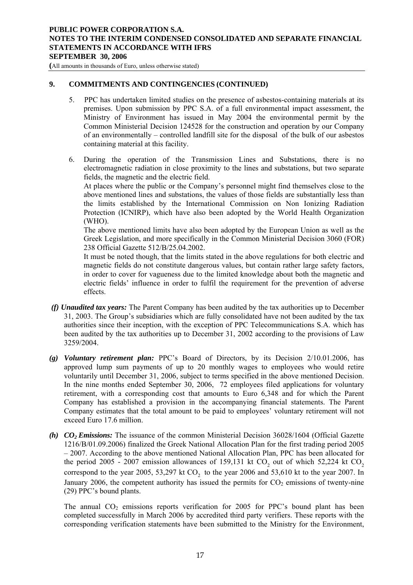**(**All amounts in thousands of Euro, unless otherwise stated)

# **9. COMMITMENTS AND CONTINGENCIES (CONTINUED)**

- 5. PPC has undertaken limited studies on the presence of asbestos-containing materials at its premises. Upon submission by PPC S.A. of a full environmental impact assessment, the Ministry of Environment has issued in May 2004 the environmental permit by the Common Ministerial Decision 124528 for the construction and operation by our Company of an environmentally – controlled landfill site for the disposal of the bulk of our asbestos containing material at this facility.
- 6. During the operation of the Transmission Lines and Substations, there is no electromagnetic radiation in close proximity to the lines and substations, but two separate fields, the magnetic and the electric field.

At places where the public or the Company's personnel might find themselves close to the above mentioned lines and substations, the values of those fields are substantially less than the limits established by the International Commission on Non Ionizing Radiation Protection (ICNIRP), which have also been adopted by the World Health Organization (WHO).

The above mentioned limits have also been adopted by the European Union as well as the Greek Legislation, and more specifically in the Common Ministerial Decision 3060 (FOR) 238 Official Gazette 512/B/25.04.2002.

It must be noted though, that the limits stated in the above regulations for both electric and magnetic fields do not constitute dangerous values, but contain rather large safety factors, in order to cover for vagueness due to the limited knowledge about both the magnetic and electric fields' influence in order to fulfil the requirement for the prevention of adverse effects.

- *(f) Unaudited tax years:* The Parent Company has been audited by the tax authorities up to December 31, 2003. The Group's subsidiaries which are fully consolidated have not been audited by the tax authorities since their inception, with the exception of PPC Telecommunications S.A. which has been audited by the tax authorities up to December 31, 2002 according to the provisions of Law 3259/2004.
- *(g) Voluntary retirement plan:* PPC's Board of Directors, by its Decision 2/10.01.2006, has approved lump sum payments of up to 20 monthly wages to employees who would retire voluntarily until December 31, 2006, subject to terms specified in the above mentioned Decision. In the nine months ended September 30, 2006, 72 employees filed applications for voluntary retirement, with a corresponding cost that amounts to Euro 6,348 and for which the Parent Company has established a provision in the accompanying financial statements. The Parent Company estimates that the total amount to be paid to employees' voluntary retirement will not exceed Euro 17.6 million.
- *(h) CO2 Emissions:* The issuance of the common Ministerial Decision 36028/1604 (Official Gazette 1216/B/01.09.2006) finalized the Greek National Allocation Plan for the first trading period 2005 – 2007. According to the above mentioned National Allocation Plan, PPC has been allocated for the period 2005 - 2007 emission allowances of 159,131 kt  $CO_2$  out of which 52,224 kt  $CO_2$ correspond to the year 2005, 53,297 kt  $CO<sub>2</sub>$  to the year 2006 and 53,610 kt to the year 2007. In January 2006, the competent authority has issued the permits for  $CO<sub>2</sub>$  emissions of twenty-nine (29) PPC's bound plants.

The annual  $CO<sub>2</sub>$  emissions reports verification for 2005 for PPC's bound plant has been completed successfully in March 2006 by accredited third party verifiers. These reports with the corresponding verification statements have been submitted to the Ministry for the Environment,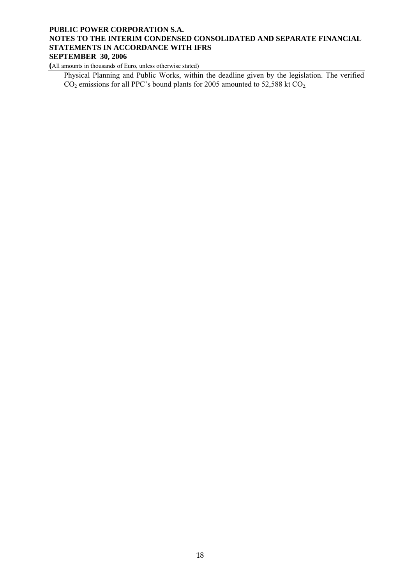**(**All amounts in thousands of Euro, unless otherwise stated)

Physical Planning and Public Works, within the deadline given by the legislation. The verified  $CO<sub>2</sub>$  emissions for all PPC's bound plants for 2005 amounted to 52,588 kt  $CO<sub>2</sub>$ .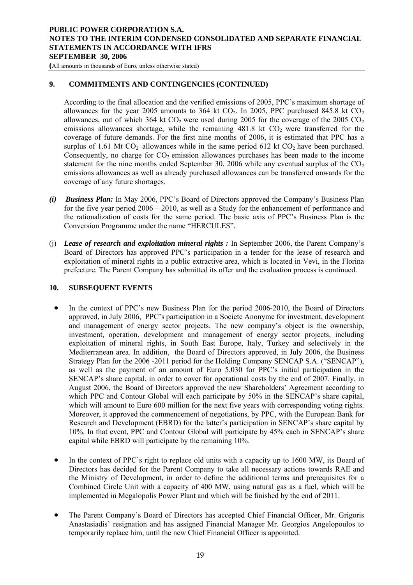<span id="page-18-0"></span>**(**All amounts in thousands of Euro, unless otherwise stated)

# **9. COMMITMENTS AND CONTINGENCIES (CONTINUED)**

According to the final allocation and the verified emissions of 2005, PPC's maximum shortage of allowances for the year 2005 amounts to 364 kt  $CO<sub>2</sub>$ . In 2005, PPC purchased 845.8 kt  $CO<sub>2</sub>$ allowances, out of which 364 kt  $CO_2$  were used during 2005 for the coverage of the 2005  $CO_2$ emissions allowances shortage, while the remaining  $481.8$  kt  $CO<sub>2</sub>$  were transferred for the coverage of future demands. For the first nine months of 2006, it is estimated that PPC has a surplus of 1.61 Mt  $CO<sub>2</sub>$  allowances while in the same period 612 kt  $CO<sub>2</sub>$  have been purchased. Consequently, no charge for  $CO<sub>2</sub>$  emission allowances purchases has been made to the income statement for the nine months ended September 30, 2006 while any eventual surplus of the  $CO<sub>2</sub>$ emissions allowances as well as already purchased allowances can be transferred onwards for the coverage of any future shortages.

- *(i) Business Plan:* In May 2006, PPC's Board of Directors approved the Company's Business Plan for the five year period 2006 – 2010, as well as a Study for the enhancement of performance and the rationalization of costs for the same period. The basic axis of PPC's Business Plan is the Conversion Programme under the name "HERCULES".
- (j) *Lease of research and exploitation mineral rights :* In September 2006, the Parent Company's Board of Directors has approved PPC's participation in a tender for the lease of research and exploitation of mineral rights in a public extractive area, which is located in Vevi, in the Florina prefecture. The Parent Company has submitted its offer and the evaluation process is continued.

### **10. SUBSEQUENT EVENTS**

- In the context of PPC's new Business Plan for the period 2006-2010, the Board of Directors approved, in July 2006, PPC's participation in a Societe Anonyme for investment, development and management of energy sector projects. The new company's object is the ownership, investment, operation, development and management of energy sector projects, including exploitation of mineral rights, in South East Europe, Italy, Turkey and selectively in the Mediterranean area. In addition, the Board of Directors approved, in July 2006, the Business Strategy Plan for the 2006 -2011 period for the Holding Company SENCAP S.A. ("SENCAP"), as well as the payment of an amount of Euro 5,030 for PPC's initial participation in the SENCAP's share capital, in order to cover for operational costs by the end of 2007. Finally, in August 2006, the Board of Directors approved the new Shareholders' Agreement according to which PPC and Contour Global will each participate by 50% in the SENCAP's share capital, which will amount to Euro 600 million for the next five years with corresponding voting rights. Moreover, it approved the commencement of negotiations, by PPC, with the European Bank for Research and Development (EBRD) for the latter's participation in SENCAP's share capital by 10%. In that event, PPC and Contour Global will participate by 45% each in SENCAP's share capital while EBRD will participate by the remaining 10%.
- In the context of PPC's right to replace old units with a capacity up to 1600 MW, its Board of Directors has decided for the Parent Company to take all necessary actions towards RAE and the Ministry of Development, in order to define the additional terms and prerequisites for a Combined Circle Unit with a capacity of 400 MW, using natural gas as a fuel, which will be implemented in Megalopolis Power Plant and which will be finished by the end of 2011.
- The Parent Company's Board of Directors has accepted Chief Financial Officer, Mr. Grigoris Anastasiadis' resignation and has assigned Financial Manager Mr. Georgios Angelopoulos to temporarily replace him, until the new Chief Financial Officer is appointed.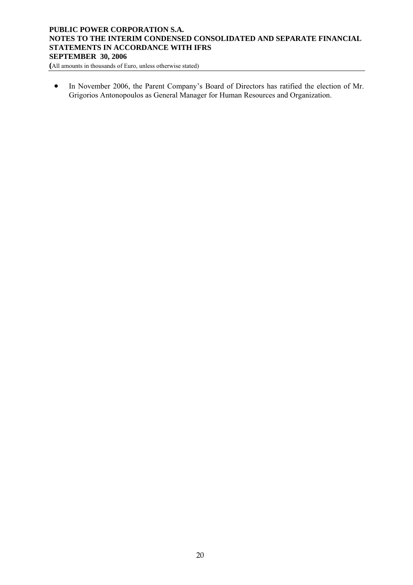**(**All amounts in thousands of Euro, unless otherwise stated)

• In November 2006, the Parent Company's Board of Directors has ratified the election of Mr. Grigorios Antonopoulos as General Manager for Human Resources and Organization.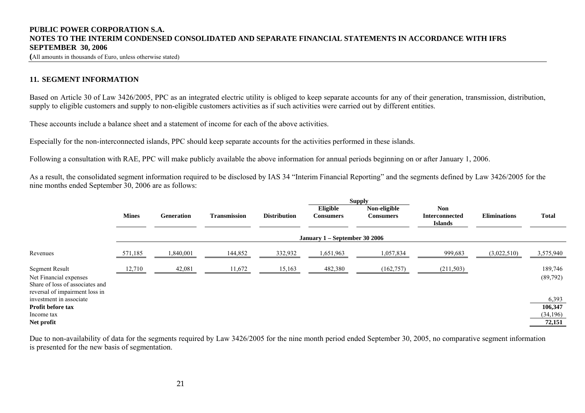**(**All amounts in thousands of Euro, unless otherwise stated)

#### **11. SEGMENT INFORMATION**

Based on Article 30 of Law 3426/2005, PPC as an integrated electric utility is obliged to keep separate accounts for any of their generation, transmission, distribution, supply to eligible customers and supply to non-eligible customers activities as if such activities were carried out by different entities.

These accounts include a balance sheet and a statement of income for each of the above activities.

Especially for the non-interconnected islands, PPC should keep separate accounts for the activities performed in these islands.

Following a consultation with RAE, PPC will make publicly available the above information for annual periods beginning on or after January 1, 2006.

As a result, the consolidated segment information required to be disclosed by IAS 34 "Interim Financial Reporting" and the segments defined by Law 3426/2005 for the nine months ended September 30, 2006 are as follows:

|                                                                                                                      | <b>Supply</b>                 |                   |                     |                     |                              |                                  |                                                       |                     |                      |  |
|----------------------------------------------------------------------------------------------------------------------|-------------------------------|-------------------|---------------------|---------------------|------------------------------|----------------------------------|-------------------------------------------------------|---------------------|----------------------|--|
|                                                                                                                      | <b>Mines</b>                  | <b>Generation</b> | <b>Transmission</b> | <b>Distribution</b> | Eligible<br><b>Consumers</b> | Non-eligible<br><b>Consumers</b> | <b>Non</b><br><b>Interconnected</b><br><b>Islands</b> | <b>Eliminations</b> | <b>Total</b>         |  |
|                                                                                                                      | January 1 – September 30 2006 |                   |                     |                     |                              |                                  |                                                       |                     |                      |  |
| Revenues                                                                                                             | 571,185                       | ,840,001          | 144,852             | 332,932             | 1,651,963                    | 1,057,834                        | 999,683                                               | (3,022,510)         | 3,575,940            |  |
| <b>Segment Result</b><br>Net Financial expenses<br>Share of loss of associates and<br>reversal of impairment loss in | 12,710                        | 42,081            | 11,672              | 15,163              | 482,380                      | (162, 757)                       | (211, 503)                                            |                     | 189,746<br>(89,792)  |  |
| investment in associate                                                                                              |                               |                   |                     |                     |                              |                                  |                                                       |                     | 6,393                |  |
| Profit before tax<br>Income tax                                                                                      |                               |                   |                     |                     |                              |                                  |                                                       |                     | 106,347<br>(34, 196) |  |
| Net profit                                                                                                           |                               |                   |                     |                     |                              |                                  |                                                       |                     | 72,151               |  |
|                                                                                                                      |                               |                   |                     |                     |                              |                                  |                                                       |                     |                      |  |

<span id="page-20-0"></span>Due to non-availability of data for the segments required by Law 3426/2005 for the nine month period ended September 30, 2005, no comparative segment information is presented for the new basis of segmentation.